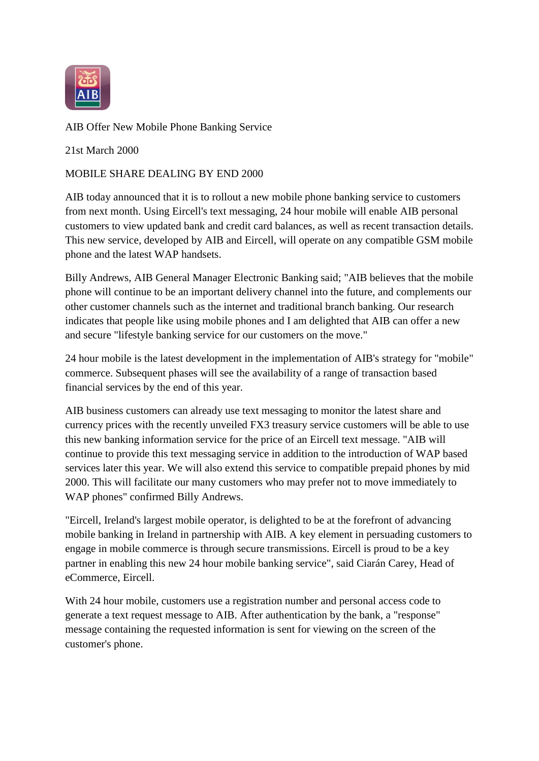

AIB Offer New Mobile Phone Banking Service

21st March 2000

## MOBILE SHARE DEALING BY END 2000

AIB today announced that it is to rollout a new mobile phone banking service to customers from next month. Using Eircell's text messaging, 24 hour mobile will enable AIB personal customers to view updated bank and credit card balances, as well as recent transaction details. This new service, developed by AIB and Eircell, will operate on any compatible GSM mobile phone and the latest WAP handsets.

Billy Andrews, AIB General Manager Electronic Banking said; "AIB believes that the mobile phone will continue to be an important delivery channel into the future, and complements our other customer channels such as the internet and traditional branch banking. Our research indicates that people like using mobile phones and I am delighted that AIB can offer a new and secure "lifestyle banking service for our customers on the move."

24 hour mobile is the latest development in the implementation of AIB's strategy for "mobile" commerce. Subsequent phases will see the availability of a range of transaction based financial services by the end of this year.

AIB business customers can already use text messaging to monitor the latest share and currency prices with the recently unveiled FX3 treasury service customers will be able to use this new banking information service for the price of an Eircell text message. "AIB will continue to provide this text messaging service in addition to the introduction of WAP based services later this year. We will also extend this service to compatible prepaid phones by mid 2000. This will facilitate our many customers who may prefer not to move immediately to WAP phones" confirmed Billy Andrews.

"Eircell, Ireland's largest mobile operator, is delighted to be at the forefront of advancing mobile banking in Ireland in partnership with AIB. A key element in persuading customers to engage in mobile commerce is through secure transmissions. Eircell is proud to be a key partner in enabling this new 24 hour mobile banking service", said Ciarán Carey, Head of eCommerce, Eircell.

With 24 hour mobile, customers use a registration number and personal access code to generate a text request message to AIB. After authentication by the bank, a "response" message containing the requested information is sent for viewing on the screen of the customer's phone.